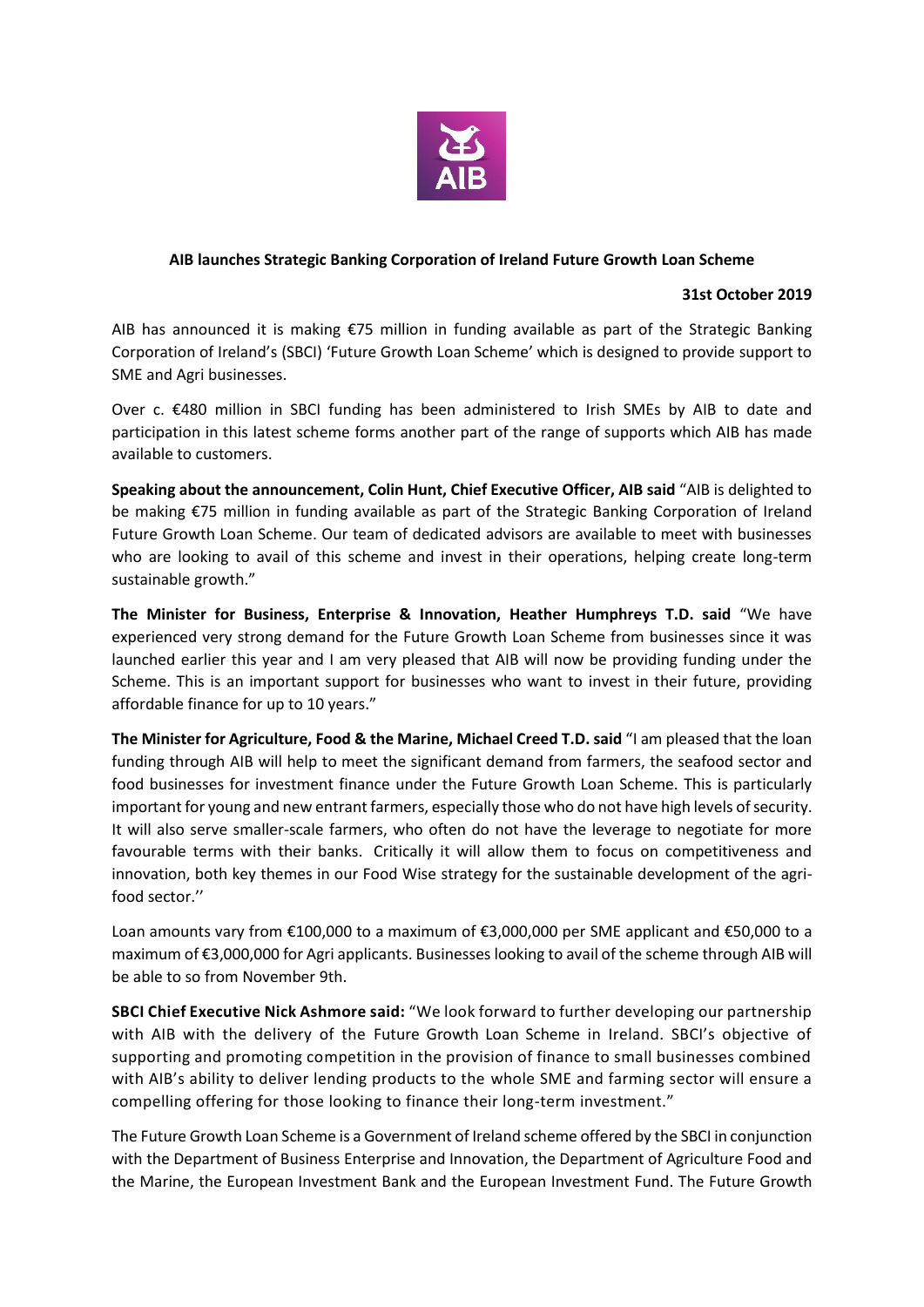

## **AIB launches Strategic Banking Corporation of Ireland Future Growth Loan Scheme**

## **31st October 2019**

AIB has announced it is making €75 million in funding available as part of the Strategic Banking Corporation of Ireland's (SBCI) 'Future Growth Loan Scheme' which is designed to provide support to SME and Agri businesses.

Over c. €480 million in SBCI funding has been administered to Irish SMEs by AIB to date and participation in this latest scheme forms another part of the range of supports which AIB has made available to customers.

**Speaking about the announcement, Colin Hunt, Chief Executive Officer, AIB said** "AIB is delighted to be making €75 million in funding available as part of the Strategic Banking Corporation of Ireland Future Growth Loan Scheme. Our team of dedicated advisors are available to meet with businesses who are looking to avail of this scheme and invest in their operations, helping create long-term sustainable growth."

**The Minister for Business, Enterprise & Innovation, Heather Humphreys T.D. said** "We have experienced very strong demand for the Future Growth Loan Scheme from businesses since it was launched earlier this year and I am very pleased that AIB will now be providing funding under the Scheme. This is an important support for businesses who want to invest in their future, providing affordable finance for up to 10 years."

**The Minister for Agriculture, Food & the Marine, Michael Creed T.D. said** "I am pleased that the loan funding through AIB will help to meet the significant demand from farmers, the seafood sector and food businesses for investment finance under the Future Growth Loan Scheme. This is particularly important for young and new entrant farmers, especially those who do not have high levels of security. It will also serve smaller-scale farmers, who often do not have the leverage to negotiate for more favourable terms with their banks. Critically it will allow them to focus on competitiveness and innovation, both key themes in our Food Wise strategy for the sustainable development of the agrifood sector.''

Loan amounts vary from €100,000 to a maximum of €3,000,000 per SME applicant and €50,000 to a maximum of €3,000,000 for Agri applicants. Businesses looking to avail of the scheme through AIB will be able to so from November 9th.

**SBCI Chief Executive Nick Ashmore said:** "We look forward to further developing our partnership with AIB with the delivery of the Future Growth Loan Scheme in Ireland. SBCI's objective of supporting and promoting competition in the provision of finance to small businesses combined with AIB's ability to deliver lending products to the whole SME and farming sector will ensure a compelling offering for those looking to finance their long-term investment."

The Future Growth Loan Scheme is a Government of Ireland scheme offered by the SBCI in conjunction with the Department of Business Enterprise and Innovation, the Department of Agriculture Food and the Marine, the European Investment Bank and the European Investment Fund. The Future Growth